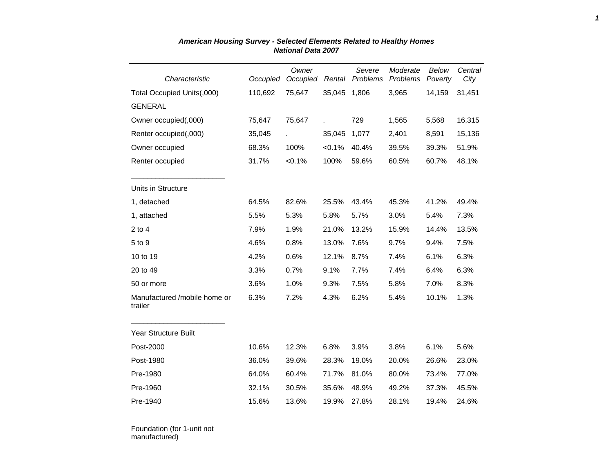| Characteristic                          | Occupied | Owner<br>Occupied | Rental    | Severe<br>Problems | Moderate<br>Problems | Below<br>Poverty | Central<br>City |
|-----------------------------------------|----------|-------------------|-----------|--------------------|----------------------|------------------|-----------------|
| Total Occupied Units(,000)              | 110,692  | 75,647            | 35,045    | 1,806              | 3,965                | 14,159           | 31,451          |
| <b>GENERAL</b>                          |          |                   |           |                    |                      |                  |                 |
| Owner occupied(,000)                    | 75,647   | 75,647            |           | 729                | 1,565                | 5,568            | 16,315          |
| Renter occupied(,000)                   | 35,045   |                   | 35,045    | 1,077              | 2,401                | 8,591            | 15,136          |
| Owner occupied                          | 68.3%    | 100%              | $< 0.1\%$ | 40.4%              | 39.5%                | 39.3%            | 51.9%           |
| Renter occupied                         | 31.7%    | $< 0.1\%$         | 100%      | 59.6%              | 60.5%                | 60.7%            | 48.1%           |
| Units in Structure                      |          |                   |           |                    |                      |                  |                 |
| 1, detached                             | 64.5%    | 82.6%             | 25.5%     | 43.4%              | 45.3%                | 41.2%            | 49.4%           |
| 1, attached                             | 5.5%     | 5.3%              | 5.8%      | 5.7%               | 3.0%                 | 5.4%             | 7.3%            |
| $2$ to 4                                | 7.9%     | 1.9%              | 21.0%     | 13.2%              | 15.9%                | 14.4%            | 13.5%           |
| 5 to 9                                  | 4.6%     | 0.8%              | 13.0%     | 7.6%               | 9.7%                 | 9.4%             | 7.5%            |
| 10 to 19                                | 4.2%     | 0.6%              | 12.1%     | 8.7%               | 7.4%                 | 6.1%             | 6.3%            |
| 20 to 49                                | 3.3%     | 0.7%              | 9.1%      | 7.7%               | 7.4%                 | 6.4%             | 6.3%            |
| 50 or more                              | 3.6%     | 1.0%              | 9.3%      | 7.5%               | 5.8%                 | 7.0%             | 8.3%            |
| Manufactured /mobile home or<br>trailer | 6.3%     | 7.2%              | 4.3%      | 6.2%               | 5.4%                 | 10.1%            | 1.3%            |
| Year Structure Built                    |          |                   |           |                    |                      |                  |                 |
| Post-2000                               | 10.6%    | 12.3%             | 6.8%      | 3.9%               | 3.8%                 | 6.1%             | 5.6%            |
| Post-1980                               | 36.0%    | 39.6%             | 28.3%     | 19.0%              | 20.0%                | 26.6%            | 23.0%           |
| Pre-1980                                | 64.0%    | 60.4%             | 71.7%     | 81.0%              | 80.0%                | 73.4%            | 77.0%           |
| Pre-1960                                | 32.1%    | 30.5%             | 35.6%     | 48.9%              | 49.2%                | 37.3%            | 45.5%           |
| Pre-1940                                | 15.6%    | 13.6%             | 19.9%     | 27.8%              | 28.1%                | 19.4%            | 24.6%           |

## *American Housing Survey - Selected Elements Related to Healthy Homes National Data 2007*

Foundation (for 1-unit not manufactured)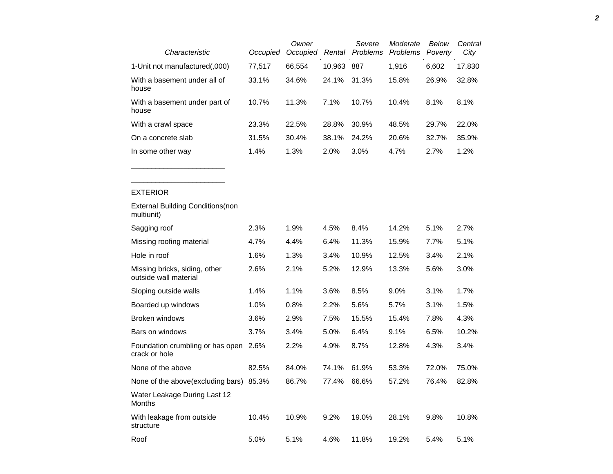| Characteristic                                              | Occupied | Owner<br>Occupied | Rental | Severe<br>Problems | Moderate<br>Problems | Below<br>Poverty | Central<br>City |
|-------------------------------------------------------------|----------|-------------------|--------|--------------------|----------------------|------------------|-----------------|
|                                                             | 77,517   | 66,554            | 10,963 | 887                | 1,916                | 6,602            | 17,830          |
| 1-Unit not manufactured(,000)                               |          |                   |        |                    |                      |                  |                 |
| With a basement under all of<br>house                       | 33.1%    | 34.6%             | 24.1%  | 31.3%              | 15.8%                | 26.9%            | 32.8%           |
| With a basement under part of<br>house                      | 10.7%    | 11.3%             | 7.1%   | 10.7%              | 10.4%                | 8.1%             | 8.1%            |
| With a crawl space                                          | 23.3%    | 22.5%             | 28.8%  | 30.9%              | 48.5%                | 29.7%            | 22.0%           |
| On a concrete slab                                          | 31.5%    | 30.4%             | 38.1%  | 24.2%              | 20.6%                | 32.7%            | 35.9%           |
| In some other way                                           | 1.4%     | 1.3%              | 2.0%   | 3.0%               | 4.7%                 | 2.7%             | 1.2%            |
| <b>EXTERIOR</b><br><b>External Building Conditions (non</b> |          |                   |        |                    |                      |                  |                 |
| multiunit)                                                  |          |                   |        |                    |                      |                  |                 |
| Sagging roof                                                | 2.3%     | 1.9%              | 4.5%   | 8.4%               | 14.2%                | 5.1%             | 2.7%            |
| Missing roofing material                                    | 4.7%     | 4.4%              | 6.4%   | 11.3%              | 15.9%                | 7.7%             | 5.1%            |
| Hole in roof                                                | 1.6%     | 1.3%              | 3.4%   | 10.9%              | 12.5%                | 3.4%             | 2.1%            |
| Missing bricks, siding, other<br>outside wall material      | 2.6%     | 2.1%              | 5.2%   | 12.9%              | 13.3%                | 5.6%             | 3.0%            |
| Sloping outside walls                                       | 1.4%     | 1.1%              | 3.6%   | 8.5%               | 9.0%                 | 3.1%             | 1.7%            |
| Boarded up windows                                          | 1.0%     | 0.8%              | 2.2%   | 5.6%               | 5.7%                 | 3.1%             | 1.5%            |
| Broken windows                                              | 3.6%     | 2.9%              | 7.5%   | 15.5%              | 15.4%                | 7.8%             | 4.3%            |
| Bars on windows                                             | 3.7%     | 3.4%              | 5.0%   | 6.4%               | 9.1%                 | 6.5%             | 10.2%           |
| Foundation crumbling or has open                            | 2.6%     | 2.2%              | 4.9%   | 8.7%               | 12.8%                | 4.3%             | 3.4%            |

None of the above 82.5% 84.0% 74.1% 61.9% 53.3% 72.0% 75.0% None of the above(excluding bars) 85.3% 86.7% 77.4% 66.6% 57.2% 76.4% 82.8%

2.6% 2.2% 4.9% 8.7% 12.8% 4.3% 3.4%

10.4% 10.9% 9.2% 19.0% 28.1% 9.8% 10.8%

crack or hole

Months

structure

Water Leakage During Last 12

With leakage from outside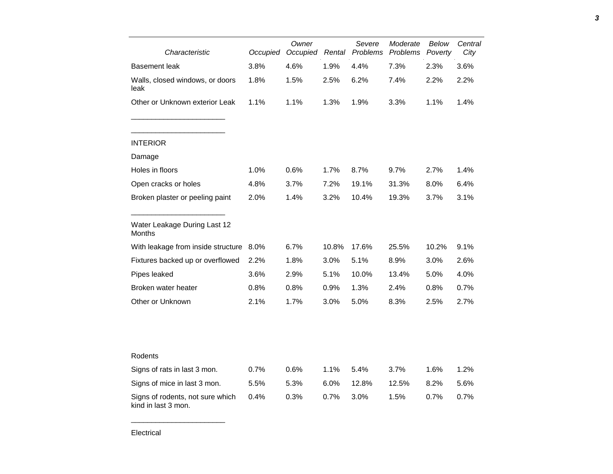| Characteristic                                          | Occupied | Owner<br>Occupied |       | Severe<br>Rental Problems | Moderate<br><b>Problems</b> | Below<br>Poverty | Central<br>City |  |
|---------------------------------------------------------|----------|-------------------|-------|---------------------------|-----------------------------|------------------|-----------------|--|
| <b>Basement</b> leak                                    | 3.8%     | 4.6%              | 1.9%  | 4.4%                      | 7.3%                        | 2.3%             | 3.6%            |  |
| Walls, closed windows, or doors<br>leak                 | 1.8%     | 1.5%              | 2.5%  | 6.2%                      | 7.4%                        | 2.2%             | 2.2%            |  |
| Other or Unknown exterior Leak                          | 1.1%     | 1.1%              | 1.3%  | 1.9%                      | 3.3%                        | 1.1%             | 1.4%            |  |
| <b>INTERIOR</b>                                         |          |                   |       |                           |                             |                  |                 |  |
| Damage                                                  |          |                   |       |                           |                             |                  |                 |  |
| Holes in floors                                         | 1.0%     | 0.6%              | 1.7%  | 8.7%                      | 9.7%                        | 2.7%             | 1.4%            |  |
| Open cracks or holes                                    | 4.8%     | 3.7%              | 7.2%  | 19.1%                     | 31.3%                       | 8.0%             | 6.4%            |  |
| Broken plaster or peeling paint                         | 2.0%     | 1.4%              | 3.2%  | 10.4%                     | 19.3%                       | 3.7%             | 3.1%            |  |
| Water Leakage During Last 12<br>Months                  |          |                   |       |                           |                             |                  |                 |  |
| With leakage from inside structure                      | 8.0%     | 6.7%              | 10.8% | 17.6%                     | 25.5%                       | 10.2%            | 9.1%            |  |
| Fixtures backed up or overflowed                        | 2.2%     | 1.8%              | 3.0%  | 5.1%                      | 8.9%                        | 3.0%             | 2.6%            |  |
| Pipes leaked                                            | 3.6%     | 2.9%              | 5.1%  | 10.0%                     | 13.4%                       | 5.0%             | 4.0%            |  |
| Broken water heater                                     | 0.8%     | 0.8%              | 0.9%  | 1.3%                      | 2.4%                        | 0.8%             | 0.7%            |  |
| Other or Unknown                                        | 2.1%     | 1.7%              | 3.0%  | 5.0%                      | 8.3%                        | 2.5%             | 2.7%            |  |
|                                                         |          |                   |       |                           |                             |                  |                 |  |
| Rodents                                                 |          |                   |       |                           |                             |                  |                 |  |
| Signs of rats in last 3 mon.                            | 0.7%     | 0.6%              | 1.1%  | 5.4%                      | 3.7%                        | 1.6%             | 1.2%            |  |
| Signs of mice in last 3 mon.                            | 5.5%     | 5.3%              | 6.0%  | 12.8%                     | 12.5%                       | 8.2%             | 5.6%            |  |
| Signs of rodents, not sure which<br>kind in last 3 mon. | 0.4%     | 0.3%              | 0.7%  | 3.0%                      | 1.5%                        | 0.7%             | 0.7%            |  |

*3*

\_\_\_\_\_\_\_\_\_\_\_\_\_\_\_\_\_\_\_\_\_\_\_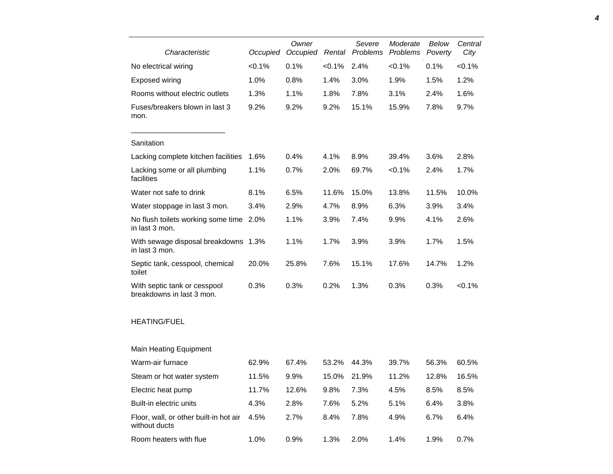| Characteristic                                            | Occupied  | Owner<br>Occupied | Rental    | Severe<br>Problems | Moderate<br>Problems | Below<br>Poverty | Central<br>City |
|-----------------------------------------------------------|-----------|-------------------|-----------|--------------------|----------------------|------------------|-----------------|
| No electrical wiring                                      | $< 0.1\%$ | 0.1%              | $< 0.1\%$ | 2.4%               | < 0.1%               | 0.1%             | $< 0.1\%$       |
| <b>Exposed wiring</b>                                     | 1.0%      | 0.8%              | 1.4%      | 3.0%               | 1.9%                 | 1.5%             | 1.2%            |
| Rooms without electric outlets                            | 1.3%      | 1.1%              | 1.8%      | 7.8%               | 3.1%                 | 2.4%             | 1.6%            |
| Fuses/breakers blown in last 3<br>mon.                    | 9.2%      | 9.2%              | 9.2%      | 15.1%              | 15.9%                | 7.8%             | 9.7%            |
| Sanitation                                                |           |                   |           |                    |                      |                  |                 |
| Lacking complete kitchen facilities                       | 1.6%      | 0.4%              | 4.1%      | 8.9%               | 39.4%                | 3.6%             | 2.8%            |
| Lacking some or all plumbing<br>facilities                | 1.1%      | 0.7%              | 2.0%      | 69.7%              | < 0.1%               | 2.4%             | 1.7%            |
| Water not safe to drink                                   | 8.1%      | 6.5%              | 11.6%     | 15.0%              | 13.8%                | 11.5%            | 10.0%           |
| Water stoppage in last 3 mon.                             | 3.4%      | 2.9%              | 4.7%      | 8.9%               | 6.3%                 | 3.9%             | 3.4%            |
| No flush toilets working some time<br>in last 3 mon.      | 2.0%      | 1.1%              | 3.9%      | 7.4%               | 9.9%                 | 4.1%             | 2.6%            |
| With sewage disposal breakdowns 1.3%<br>in last 3 mon.    |           | 1.1%              | 1.7%      | 3.9%               | 3.9%                 | 1.7%             | 1.5%            |
| Septic tank, cesspool, chemical<br>toilet                 | 20.0%     | 25.8%             | 7.6%      | 15.1%              | 17.6%                | 14.7%            | 1.2%            |
| With septic tank or cesspool<br>breakdowns in last 3 mon. | 0.3%      | 0.3%              | 0.2%      | 1.3%               | 0.3%                 | 0.3%             | $< 0.1\%$       |
| <b>HEATING/FUEL</b>                                       |           |                   |           |                    |                      |                  |                 |
| <b>Main Heating Equipment</b>                             |           |                   |           |                    |                      |                  |                 |
| Warm-air furnace                                          | 62.9%     | 67.4%             | 53.2%     | 44.3%              | 39.7%                | 56.3%            | 60.5%           |
| Steam or hot water system                                 | 11.5%     | 9.9%              | 15.0%     | 21.9%              | 11.2%                | 12.8%            | 16.5%           |
| Electric heat pump                                        | 11.7%     | 12.6%             | 9.8%      | 7.3%               | 4.5%                 | 8.5%             | 8.5%            |
| Built-in electric units                                   | 4.3%      | 2.8%              | 7.6%      | 5.2%               | 5.1%                 | 6.4%             | 3.8%            |
| Floor, wall, or other built-in hot air<br>without ducts   | 4.5%      | 2.7%              | 8.4%      | 7.8%               | 4.9%                 | 6.7%             | 6.4%            |
| Room heaters with flue                                    | 1.0%      | 0.9%              | 1.3%      | 2.0%               | 1.4%                 | 1.9%             | 0.7%            |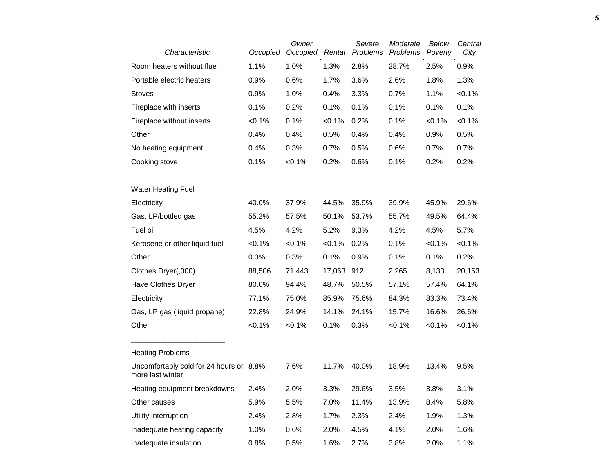| Characteristic                                              | Occupied | Owner<br>Occupied | Rental    | Severe<br>Problems | Moderate<br>Problems | Below<br>Poverty | Central<br>City |
|-------------------------------------------------------------|----------|-------------------|-----------|--------------------|----------------------|------------------|-----------------|
| Room heaters without flue                                   | 1.1%     | 1.0%              | 1.3%      | 2.8%               | 28.7%                | 2.5%             | 0.9%            |
| Portable electric heaters                                   | 0.9%     | 0.6%              | 1.7%      | 3.6%               | 2.6%                 | 1.8%             | 1.3%            |
| <b>Stoves</b>                                               | 0.9%     | 1.0%              | 0.4%      | 3.3%               | 0.7%                 | 1.1%             | $< 0.1\%$       |
| Fireplace with inserts                                      | 0.1%     | 0.2%              | 0.1%      | 0.1%               | 0.1%                 | 0.1%             | 0.1%            |
| Fireplace without inserts                                   | < 0.1%   | 0.1%              | $< 0.1\%$ | 0.2%               | 0.1%                 | < 0.1%           | < 0.1%          |
| Other                                                       | 0.4%     | 0.4%              | 0.5%      | 0.4%               | 0.4%                 | 0.9%             | 0.5%            |
| No heating equipment                                        | 0.4%     | 0.3%              | 0.7%      | 0.5%               | 0.6%                 | 0.7%             | 0.7%            |
| Cooking stove                                               | 0.1%     | < 0.1%            | 0.2%      | 0.6%               | 0.1%                 | 0.2%             | 0.2%            |
| <b>Water Heating Fuel</b>                                   |          |                   |           |                    |                      |                  |                 |
| Electricity                                                 | 40.0%    | 37.9%             | 44.5%     | 35.9%              | 39.9%                | 45.9%            | 29.6%           |
| Gas, LP/bottled gas                                         | 55.2%    | 57.5%             | 50.1%     | 53.7%              | 55.7%                | 49.5%            | 64.4%           |
| Fuel oil                                                    | 4.5%     | 4.2%              | 5.2%      | 9.3%               | 4.2%                 | 4.5%             | 5.7%            |
| Kerosene or other liquid fuel                               | < 0.1%   | $< 0.1\%$         | < 0.1%    | 0.2%               | 0.1%                 | $< 0.1\%$        | $< 0.1\%$       |
| Other                                                       | 0.3%     | 0.3%              | 0.1%      | 0.9%               | 0.1%                 | 0.1%             | 0.2%            |
| Clothes Dryer(,000)                                         | 88,506   | 71,443            | 17,063    | 912                | 2,265                | 8,133            | 20,153          |
| Have Clothes Dryer                                          | 80.0%    | 94.4%             | 48.7%     | 50.5%              | 57.1%                | 57.4%            | 64.1%           |
| Electricity                                                 | 77.1%    | 75.0%             | 85.9%     | 75.6%              | 84.3%                | 83.3%            | 73.4%           |
| Gas, LP gas (liquid propane)                                | 22.8%    | 24.9%             | 14.1%     | 24.1%              | 15.7%                | 16.6%            | 26.6%           |
| Other                                                       | < 0.1%   | < 0.1%            | 0.1%      | 0.3%               | < 0.1%               | $< 0.1\%$        | < 0.1%          |
| <b>Heating Problems</b>                                     |          |                   |           |                    |                      |                  |                 |
| Uncomfortably cold for 24 hours or 8.8%<br>more last winter |          | 7.6%              | 11.7%     | 40.0%              | 18.9%                | 13.4%            | 9.5%            |
| Heating equipment breakdowns                                | 2.4%     | 2.0%              | 3.3%      | 29.6%              | 3.5%                 | 3.8%             | 3.1%            |
| Other causes                                                | 5.9%     | 5.5%              | 7.0%      | 11.4%              | 13.9%                | 8.4%             | 5.8%            |
| Utility interruption                                        | 2.4%     | 2.8%              | 1.7%      | 2.3%               | 2.4%                 | 1.9%             | 1.3%            |
| Inadequate heating capacity                                 | 1.0%     | 0.6%              | 2.0%      | 4.5%               | 4.1%                 | 2.0%             | 1.6%            |
| Inadequate insulation                                       | 0.8%     | 0.5%              | 1.6%      | 2.7%               | 3.8%                 | 2.0%             | 1.1%            |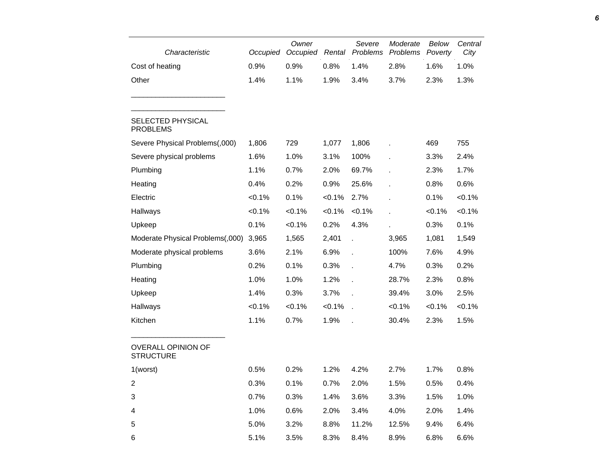| Characteristic                                | Occupied  | Owner<br>Occupied | Rental    | Severe<br>Problems | Moderate<br>Problems | Below<br>Poverty | Central<br>City |
|-----------------------------------------------|-----------|-------------------|-----------|--------------------|----------------------|------------------|-----------------|
| Cost of heating                               | 0.9%      | 0.9%              | 0.8%      | 1.4%               | 2.8%                 | 1.6%             | 1.0%            |
| Other                                         | 1.4%      | 1.1%              | 1.9%      | 3.4%               | 3.7%                 | 2.3%             | 1.3%            |
| <b>SELECTED PHYSICAL</b><br><b>PROBLEMS</b>   |           |                   |           |                    |                      |                  |                 |
| Severe Physical Problems(,000)                | 1,806     | 729               | 1,077     | 1,806              |                      | 469              | 755             |
| Severe physical problems                      | 1.6%      | 1.0%              | 3.1%      | 100%               |                      | 3.3%             | 2.4%            |
| Plumbing                                      | 1.1%      | 0.7%              | 2.0%      | 69.7%              |                      | 2.3%             | 1.7%            |
| Heating                                       | 0.4%      | 0.2%              | 0.9%      | 25.6%              |                      | 0.8%             | 0.6%            |
| Electric                                      | $< 0.1\%$ | 0.1%              | $< 0.1\%$ | 2.7%               |                      | 0.1%             | $< 0.1\%$       |
| Hallways                                      | $< 0.1\%$ | $< 0.1\%$         | $< 0.1\%$ | $< 0.1\%$          | ÷.                   | $< 0.1\%$        | $< 0.1\%$       |
| Upkeep                                        | 0.1%      | $< 0.1\%$         | 0.2%      | 4.3%               |                      | 0.3%             | 0.1%            |
| Moderate Physical Problems(,000)              | 3,965     | 1,565             | 2,401     | l.                 | 3,965                | 1,081            | 1,549           |
| Moderate physical problems                    | 3.6%      | 2.1%              | 6.9%      | l.                 | 100%                 | 7.6%             | 4.9%            |
| Plumbing                                      | 0.2%      | 0.1%              | 0.3%      |                    | 4.7%                 | 0.3%             | 0.2%            |
| Heating                                       | 1.0%      | 1.0%              | 1.2%      |                    | 28.7%                | 2.3%             | 0.8%            |
| Upkeep                                        | 1.4%      | 0.3%              | 3.7%      |                    | 39.4%                | 3.0%             | 2.5%            |
| Hallways                                      | $< 0.1\%$ | $< 0.1\%$         | $< 0.1\%$ | l.                 | $< 0.1\%$            | $< 0.1\%$        | $< 0.1\%$       |
| Kitchen                                       | 1.1%      | 0.7%              | 1.9%      |                    | 30.4%                | 2.3%             | 1.5%            |
| <b>OVERALL OPINION OF</b><br><b>STRUCTURE</b> |           |                   |           |                    |                      |                  |                 |
| 1(worst)                                      | 0.5%      | 0.2%              | 1.2%      | 4.2%               | 2.7%                 | 1.7%             | 0.8%            |
| $\overline{c}$                                | 0.3%      | 0.1%              | 0.7%      | 2.0%               | 1.5%                 | 0.5%             | 0.4%            |
| 3                                             | 0.7%      | 0.3%              | 1.4%      | 3.6%               | 3.3%                 | 1.5%             | 1.0%            |
| 4                                             | 1.0%      | 0.6%              | 2.0%      | 3.4%               | 4.0%                 | 2.0%             | 1.4%            |
| 5                                             | 5.0%      | 3.2%              | 8.8%      | 11.2%              | 12.5%                | 9.4%             | 6.4%            |
| 6                                             | 5.1%      | 3.5%              | 8.3%      | 8.4%               | 8.9%                 | 6.8%             | 6.6%            |